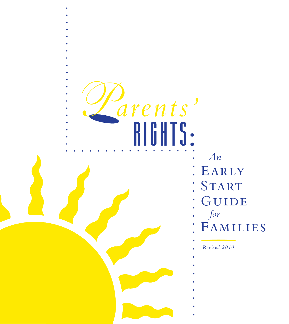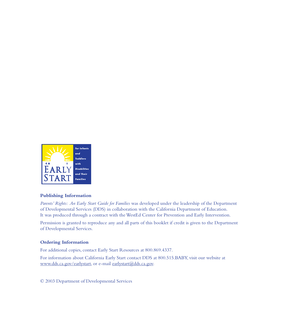

#### **Publishing Information**

 *Parents' Rights: An Early Start Guide for Families* was developed under the leadership of the Department of Developmental Services (DDS) in collaboration with the California Department of Education. It was produced through a contract with the WestEd Center for Prevention and Early Intervention.

Permission is granted to reproduce any and all parts of this booklet if credit is given to the Department of Developmental Services.

#### **Ordering Information**

For additional copies, contact Early Start Resources at 800.869.4337.

For information about California Early Start contact DDS at 800.515.BABY, visit our website at www.dds.ca.gov/earlystart, or e-mail earlystart@dds.ca.gov.

© 2003 Department of Developmental Services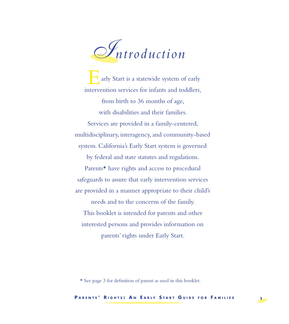

 ◆ ◆ ◆ ◆ ◆ ◆ ◆ ◆ ◆ ◆ ◆ ◆ ◆ ◆ ◆ ◆ ◆ ◆ ◆ ◆ ◆ ◆ ◆ ◆ ◆ ◆ ◆ ◆ ◆ ◆ ◆ ◆ ◆ ◆ ◆ ◆ ◆ ◆ ◆ ◆ ◆ ◆ ◆ ◆ ◆ Start is a statewide system of early intervention services for infants and toddlers, from birth to 36 months of age, with disabilities and their families. Services are provided in a family-centered, multidisciplinary, interagency, and community-based system. California's Early Start system is governed by federal and state statutes and regulations. Parents\* have rights and access to procedural safeguards to assure that early intervention services are provided in a manner appropriate to their child's needs and to the concerns of the family. This booklet is intended for parents and other Early Start is a statewide system of early

interested persons and provides information on parents' rights under Early Start.

 \* See page 3 for definition of parent as used in this booklet.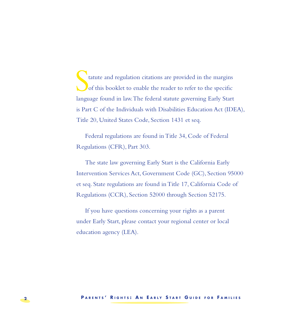◆ ◆ ◆ ◆ ◆ ◆ ◆ ◆ ◆ ◆ ◆ ◆ ◆ ◆ ◆ ◆ ◆ ◆ ◆ ◆ ◆ ◆ ◆ ◆ ◆ ◆ ◆ ◆ ◆ ◆ ◆ ◆ ◆ ◆ ◆ ◆ ◆ ◆ ◆ ◆ ◆ ◆ ◆ ◆ ◆ tatute and regulation citations are provided in the margins of this booklet to enable the reader to refer to the specific language found in law.The federal statute governing Early Start is Part C of the Individuals with Disabilities Education Act (IDEA), Title 20, United States Code, Section 1431 et seq. tatute and regulation citations are provided in the margins of this booklet to enable the reader to refer to the specific

 Federal regulations are found in Title 34, Code of Federal Regulations (CFR), Part 303.

The state law governing Early Start is the California Early Intervention Services Act, Government Code (GC), Section 95000 et seq. State regulations are found in Title 17, California Code of Regulations (CCR), Section 52000 through Section 52175.

If you have questions concerning your rights as a parent under Early Start, please contact your regional center or local education agency (LEA).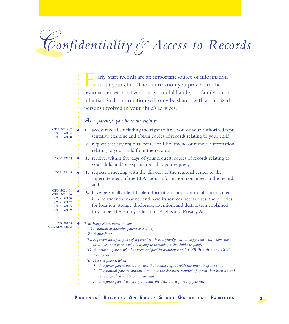## *C onfidentiality& Access to Records*

|                                                                                                            | arly Start records are an important source of information<br>about your child. The information you provide to the<br>regional center or LEA about your child and your family is con-<br>fidential. Such information will only be shared with authorized<br>persons involved in your child's services.<br>As a parent, $\star$ you have the right to                                                                                                                                                                                                                                                                                                                                                                                           |
|------------------------------------------------------------------------------------------------------------|-----------------------------------------------------------------------------------------------------------------------------------------------------------------------------------------------------------------------------------------------------------------------------------------------------------------------------------------------------------------------------------------------------------------------------------------------------------------------------------------------------------------------------------------------------------------------------------------------------------------------------------------------------------------------------------------------------------------------------------------------|
| CFR 303.402<br><b>CCR 52164</b><br><b>CCR 52168</b>                                                        | 1. access records, including the right to have you or your authorized repre-<br>sentative examine and obtain copies of records relating to your child;                                                                                                                                                                                                                                                                                                                                                                                                                                                                                                                                                                                        |
|                                                                                                            | 2. request that any regional center or LEA amend or remove information<br>relating to your child from the records;                                                                                                                                                                                                                                                                                                                                                                                                                                                                                                                                                                                                                            |
| <b>CCR 52164</b>                                                                                           | 3. receive, within five days of your request, copies of records relating to<br>your child and/or explanations that you request;                                                                                                                                                                                                                                                                                                                                                                                                                                                                                                                                                                                                               |
| <b>CCR 52168</b>                                                                                           | 4. request a meeting with the director of the regional center or the<br>superintendent of the LEA about information contained in the record;<br>and                                                                                                                                                                                                                                                                                                                                                                                                                                                                                                                                                                                           |
| CFR 303.401<br>CFR 303.460<br><b>CCR 52160</b><br><b>CCR 52162</b><br><b>CCR 52165</b><br><b>CCR 52169</b> | 5. have personally identifiable information about your child maintained<br>in a confidential manner and have its sources, access, uses, and policies<br>for location, storage, disclosure, retention, and destruction explained<br>to you per the Family Education Rights and Privacy Act.                                                                                                                                                                                                                                                                                                                                                                                                                                                    |
| CFR 303.19<br>CCR 52000(b)(36)                                                                             | ★ In Early Start, parent means:<br>$(A)$ A natural or adoptive parent of a child;<br>$(B)$ A guardian;<br>(C) A person acting in place of a parent (such as a grandparent or stepparent with whom the<br>child lives, or a person who is legally responsible for the child's welfare);<br>(D) A surrogate parent who has been assigned in accordance with CFR 303.406 and CCR<br>52175; or<br>$(E)$ A foster parent, when:<br>1. The foster parent has no interest that would conflict with the interests of the child,<br>2. The natural parents' authority to make the decisions required of parents has been limited<br>or relinquished under State law, and<br>3. The foster parent is willing to make the decisions required of parents. |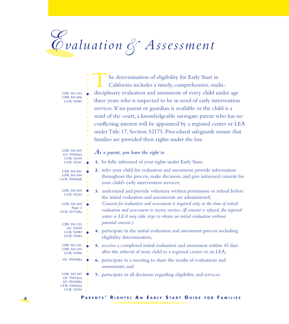# *E va l u a t i o n & A s s e s s m e n t*

of eligibility for Early Start in California includes a timely, comprehensive, multidisciplinary evaluation and assessment of every child under age disciplinary evaluation and assessment of every child under age three years who is suspected to be in need of early intervention services. If no parent or guardian is available or the child is a services. If no parent or guardian is available or the child is a ward of the court, a knowledgeable surrogate parent who has no conflicting interest will be appointed by a regional center or LEA Title 17, Section 52175. Procedural safeguards ensure that families are provided their rights under the law. The determination of eligibility for Early Start in<br>California includes a timely, comprehensive, mu conflicting interest will be appointed by a regional center or LEA under Title 17, Section 52175. Procedural safeguards ensure that families are provided their rights under the law.

| CFR 303.322                                                                             | he determination of eligibility for Early Start in<br>California includes a timely, comprehensive, multi-<br>disciplinary evaluation and assessment of every child under age                                                                                                                                                                                                                               |
|-----------------------------------------------------------------------------------------|------------------------------------------------------------------------------------------------------------------------------------------------------------------------------------------------------------------------------------------------------------------------------------------------------------------------------------------------------------------------------------------------------------|
| CFR 303.406<br><b>CCR 52082</b>                                                         | three years who is suspected to be in need of early intervention<br>services. If no parent or guardian is available or the child is a<br>ward of the court, a knowledgeable surrogate parent who has no<br>conflicting interest will be appointed by a regional center or LEA<br>under Title 17, Section 52175. Procedural safeguards ensure that<br>families are provided their rights under the law.     |
| CFR 303.403<br>GC 95020(c)<br><b>CCR 52160</b>                                          | $As$ a parent, you have the right to                                                                                                                                                                                                                                                                                                                                                                       |
| <b>CCR 52161</b><br>CFR 303.401<br>CFR 303.404<br>CCR 52040(d)                          | 1. be fully informed of your rights under Early Start;<br>2. refer your child for evaluation and assessment, provide information<br>throughout the process, make decisions, and give informed consent for<br>your child's early intervention services;                                                                                                                                                     |
| CFR 303.405<br><b>CCR 52162</b><br>CFR 303.404<br>Note 2<br>CCR 52172(b)<br>CFR 303.322 | 3. understand and provide voluntary written permission or refusal before<br>the initial evaluation and assessments are administered;<br>Consent for evaluation and assessment is required only at the time of initial<br>evaluation and assessment to receive services. (If consent is refused, the regional<br>center or LEA may take steps to obtain an initial evaluation without<br>parental consent.) |
| GC 95020<br><b>CCR 52082</b><br><b>CCR 52084</b>                                        | 4. participate in the initial evaluation and assessment process including<br>eligibility determination;                                                                                                                                                                                                                                                                                                    |
| CFR 303.321<br>CFR 303.322<br><b>CCR 52086</b>                                          | 5. receive a completed initial evaluation and assessment within 45 days<br>after the referral of your child to a regional center or an LEA;                                                                                                                                                                                                                                                                |
| GC 95020(b)                                                                             | 6. participate in a meeting to share the results of evaluations and<br>assessments; and                                                                                                                                                                                                                                                                                                                    |
| CFR 303.343<br>GC 95014(a)<br>GC 95020(b)<br>CCR 52082(a)<br><b>CCR 52104</b>           | 7. participate in all decisions regarding eligibility and services.                                                                                                                                                                                                                                                                                                                                        |

**4 PARENTS' RIGHTS: AN EARLY START GUIDE FOR FAMILIES**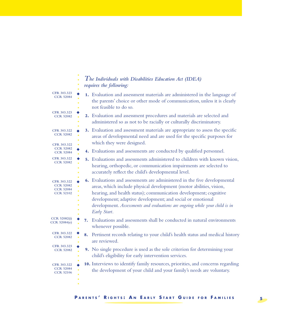|                                                                         | The Individuals with Disabilities Education Act (IDEA)<br>requires the following:                                                                                                                                                                                                                                                                                                  |  |
|-------------------------------------------------------------------------|------------------------------------------------------------------------------------------------------------------------------------------------------------------------------------------------------------------------------------------------------------------------------------------------------------------------------------------------------------------------------------|--|
| CFR 303.323<br><b>CCR 52084</b>                                         | 1. Evaluation and assessment materials are administered in the language of<br>the parents' choice or other mode of communication, unless it is clearly<br>not feasible to do so.                                                                                                                                                                                                   |  |
| CFR 303.323<br><b>CCR 52082</b>                                         | 2. Evaluation and assessment procedures and materials are selected and<br>administered so as not to be racially or culturally discriminatory.                                                                                                                                                                                                                                      |  |
| CFR 303.322<br><b>CCR 52082</b>                                         | 3. Evaluation and assessment materials are appropriate to assess the specific<br>areas of developmental need and are used for the specific purposes for<br>which they were designed.                                                                                                                                                                                               |  |
| CFR 303.322<br><b>CCR 52082</b><br><b>CCR 52084</b>                     | 4. Evaluations and assessments are conducted by qualified personnel.                                                                                                                                                                                                                                                                                                               |  |
| CFR 303.322<br><b>CCR 52082</b>                                         | 5. Evaluations and assessments administered to children with known vision,<br>hearing, orthopedic, or communication impairments are selected to<br>accurately reflect the child's developmental level.                                                                                                                                                                             |  |
| CFR 303.322<br><b>CCR 52082</b><br><b>CCR 52084</b><br><b>CCR 52102</b> | 6. Evaluations and assessments are administered in the five developmental<br>areas, which include physical development (motor abilities, vision,<br>hearing, and health status); communication development; cognitive<br>development; adaptive development; and social or emotional<br>development. Assessments and evaluations are ongoing while your child is in<br>Early Start. |  |
| CCR 52082(i)<br>CCR 52084(e)                                            | Evaluations and assessments shall be conducted in natural environments<br>7.<br>whenever possible.                                                                                                                                                                                                                                                                                 |  |
| CFR 303.322<br><b>CCR 52082</b>                                         | Pertinent records relating to your child's health status and medical history<br>8.<br>are reviewed.                                                                                                                                                                                                                                                                                |  |
| CFR 303.323<br><b>CCR 52082</b>                                         | 9. No single procedure is used as the sole criterion for determining your<br>child's eligibility for early intervention services.                                                                                                                                                                                                                                                  |  |
| CFR 303.322<br><b>CCR 52084</b><br><b>CCR 52106</b>                     | 10. Interviews to identify family resources, priorities, and concerns regarding<br>the development of your child and your family's needs are voluntary.                                                                                                                                                                                                                            |  |

 $\bullet$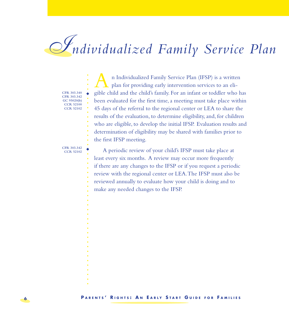## $\mathscr{F}_{\mathit{ndividualized\ Family\ Service\ Plan}$

**CFR 303.340 CFR 303.342 GC 95020(b) CCR 52100 CCR 52102** 

◆

An Individualized Family Service Plan (IFSP) is a written<br>plan for providing early intervention services to an eli- $\perp$   $\perp$  plan for providing early intervention services to an eligible child and the child's family. For an infant or toddler who has gible child and the child's family. For an infant or toddler who has been evaluated for the first time, a meeting must take place within 45 days of the referral to the regional center or LEA to share the results of the evaluation, to determine eligibility, and, for children are eligible, to develop the initial IFSP. Evaluation results and determination of eligibility may be shared with families prior to the first IFSP meeting. results of the evaluation, to determine eligibility, and, for children<br>who are eligible, to develop the initial IFSP. Evaluation results and<br>determination of eligibility may be shared with families prior to<br>the first IFSP

**CFR 303.342 CCR 52102**  ◆ ◆ ◆ ◆ ◆ ◆ ◆ ◆ ◆ ◆ ◆ ◆ ◆ ◆ ◆ ◆ ◆ ◆ ◆ ◆ ◆ ◆ ◆ ◆ ◆ ◆ ◆ ◆ ◆ ◆ ◆ ◆ ◆ ◆ ◆ ◆ ◆ ◆ ◆ ◆ ◆ ◆ ◆ ◆ ◆

◆

A periodic review of your child's IFSP must take place at least every six months. A review may occur more frequently if there are any changes to the IFSP or if you request a periodic review with the regional center or LEA. The IFSP must also be if there are any changes to the IFSP or if you request a periodic review with the regional center or LEA. The IFSP must also be reviewed annually to evaluate how your child is doing and to make any needed changes to the IFSP.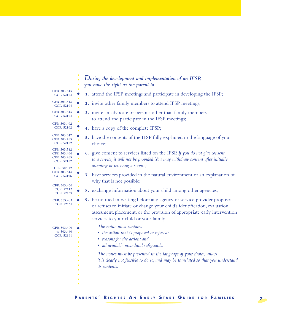|                                                               | During the development and implementation of an IFSP,<br>you have the right as the parent to                                                                                                                                                                                 |
|---------------------------------------------------------------|------------------------------------------------------------------------------------------------------------------------------------------------------------------------------------------------------------------------------------------------------------------------------|
| CFR 303.343<br><b>CCR 52104</b>                               | 1. attend the IFSP meetings and participate in developing the IFSP;                                                                                                                                                                                                          |
| CFR 303.343<br><b>CCR 52104</b>                               | 2. invite other family members to attend IFSP meetings;                                                                                                                                                                                                                      |
| CFR 303.343<br><b>CCR 52104</b>                               | 3. invite an advocate or persons other than family members<br>to attend and participate in the IFSP meetings;                                                                                                                                                                |
| CFR 303.402<br><b>CCR 52102</b>                               | 4. have a copy of the complete IFSP;                                                                                                                                                                                                                                         |
| CFR 303.342<br>CFR 303.403<br><b>CCR 52102</b>                | 5. have the contents of the IFSP fully explained in the language of your<br>choice;                                                                                                                                                                                          |
| CFR 303.342<br>CFR 303.404<br>CFR 303.405<br><b>CCR 52102</b> | 6. give consent to services listed on the IFSP. If you do not give consent<br>to a service, it will not be provided. You may withdraw consent after initially<br>accepting or receiving a service;                                                                           |
| CFR 303.12<br>CFR 303.344<br><b>CCR 52106</b>                 | 7. have services provided in the natural environment or an explanation of<br>why that is not possible;                                                                                                                                                                       |
| CFR 303.460<br><b>CCR 52112</b><br><b>CCR 52169</b>           | 8. exchange information about your child among other agencies;                                                                                                                                                                                                               |
| CFR 303.403<br><b>CCR 52161</b>                               | 9. be notified in writing before any agency or service provider proposes<br>or refuses to initiate or change your child's identification, evaluation,<br>assessment, placement, or the provision of appropriate early intervention<br>services to your child or your family. |
| CFR 303.400<br>to 303.460<br><b>CCR 52161</b>                 | The notice must contain:<br>• the action that is proposed or refused;<br>• reasons for the action; and<br>· all available procedural safeguards.                                                                                                                             |
|                                                               | The notice must be presented in the language of your choice, unless<br>it is clearly not feasible to do so, and may be translated so that you understand<br><i>its</i> contents.                                                                                             |
|                                                               |                                                                                                                                                                                                                                                                              |

### **P** ARENTS' RIGHTS: AN EARLY START GUIDE FOR FAMILIES 7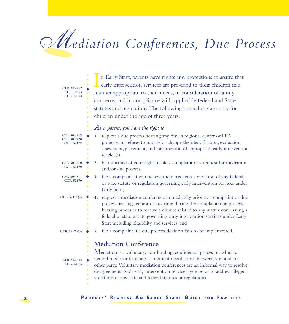### *Mediation Conferences, Due Process*

| CFR 303.422<br><b>CCR 52173</b><br><b>CCR 52174</b> | n Early Start, parents have rights and protections to assure that<br>early intervention services are provided to their children in a<br>manner appropriate to their needs, in consideration of family<br>concerns, and in compliance with applicable federal and State<br>statutes and regulations. The following procedures are only for<br>children under the age of three years.                              |
|-----------------------------------------------------|------------------------------------------------------------------------------------------------------------------------------------------------------------------------------------------------------------------------------------------------------------------------------------------------------------------------------------------------------------------------------------------------------------------|
|                                                     | $As$ a parent, you have the right to                                                                                                                                                                                                                                                                                                                                                                             |
| CFR 303.419<br>CFR 303.420<br><b>CCR 52172</b>      | 1. request a due process hearing any time a regional center or LEA<br>proposes or refuses to initiate or change the identification, evaluation,<br>assessment, placement, and/or provision of appropriate early intervention<br>service(s);                                                                                                                                                                      |
| CFR 303.510<br><b>CCR 52170</b>                     | 2. be informed of your right to file a complaint or a request for mediation<br>and/or due process;                                                                                                                                                                                                                                                                                                               |
| CFR 303.511<br><b>CCR 52170</b>                     | 3. file a complaint if you believe there has been a violation of any federal<br>or state statute or regulation governing early intervention services under<br>Early Start;                                                                                                                                                                                                                                       |
| CCR 52171(e)                                        | 4. request a mediation conference immediately prior to a complaint or due<br>process hearing request or any time during the complaint/due process<br>hearing processes to resolve a dispute related to any matter concerning a<br>federal or state statute governing early intervention services under Early<br>Start including eligibility and services; and                                                    |
| CCR 52170(b)                                        | 5. file a complaint if a due process decision fails to be implemented.                                                                                                                                                                                                                                                                                                                                           |
| CFR 303.419<br><b>CCR 52173</b>                     | <b>Mediation Conference</b><br>Mediation is a voluntary, non-binding, confidential process in which a<br>neutral mediator facilitates settlement negotiations between you and an-<br>other party. Voluntary mediation conferences are an informal way to resolve<br>disagreements with early intervention service agencies or to address alleged<br>violations of any state and federal statutes or regulations. |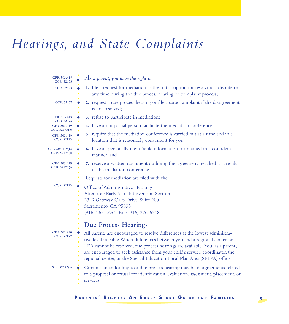### Hearings, and State Complaints

| CFR 303.419<br><b>CCR 52173</b>                                | $As$ a parent, you have the right to                                                                                                                                                                                                                                                                                                                                                                    |
|----------------------------------------------------------------|---------------------------------------------------------------------------------------------------------------------------------------------------------------------------------------------------------------------------------------------------------------------------------------------------------------------------------------------------------------------------------------------------------|
| <b>CCR 52173</b>                                               | 1. file a request for mediation as the initial option for resolving a dispute or<br>any time during the due process hearing or complaint process;                                                                                                                                                                                                                                                       |
| <b>CCR 52173</b>                                               | 2. request a due process hearing or file a state complaint if the disagreement<br>is not resolved:                                                                                                                                                                                                                                                                                                      |
| CFR 303.419<br><b>CCR 52173</b>                                | 3. refuse to participate in mediation;                                                                                                                                                                                                                                                                                                                                                                  |
| CFR 303.419<br>CCR 52173(c)<br>CFR 303.419<br><b>CCR 52173</b> | 4. have an impartial person facilitate the mediation conference;                                                                                                                                                                                                                                                                                                                                        |
|                                                                | 5. require that the mediation conference is carried out at a time and in a<br>location that is reasonably convenient for you;                                                                                                                                                                                                                                                                           |
| CFR 303.419(b)<br>CCR 52173(j)                                 | 6. have all personally identifiable information maintained in a confidential<br>manner; and                                                                                                                                                                                                                                                                                                             |
| CFR 303.419<br>CCR 52173(i)                                    | 7. receive a written document outlining the agreements reached as a result<br>of the mediation conference.                                                                                                                                                                                                                                                                                              |
|                                                                | Requests for mediation are filed with the:                                                                                                                                                                                                                                                                                                                                                              |
| <b>CCR 52173</b>                                               | Office of Administrative Hearings<br>Attention: Early Start Intervention Section<br>2349 Gateway Oaks Drive, Suite 200<br>Sacramento, CA 95833<br>(916) 263-0654 Fax: (916) 376-6318                                                                                                                                                                                                                    |
|                                                                | <b>Due Process Hearings</b>                                                                                                                                                                                                                                                                                                                                                                             |
| CFR 303.420<br><b>CCR 52172</b>                                | All parents are encouraged to resolve differences at the lowest administra-<br>tive level possible. When differences between you and a regional center or<br>LEA cannot be resolved, due process hearings are available. You, as a parent,<br>are encouraged to seek assistance from your child's service coordinator, the<br>regional center, or the Special Education Local Plan Area (SELPA) office. |
| CCR 52172(a)                                                   | Circumstances leading to a due process hearing may be disagreements related<br>to a proposal or refusal for identification, evaluation, assessment, placement, or<br>services.                                                                                                                                                                                                                          |

**PARENTS' RIGHTS: AN EARLY START GUIDE FOR FAMILIES** 9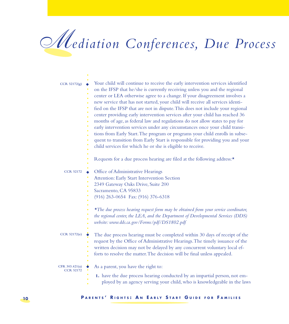## *Mediation Conferences, Due Process*

| CCR 52172(g)                       | Your child will continue to receive the early intervention services identified<br>on the IFSP that he/she is currently receiving unless you and the regional<br>center or LEA otherwise agree to a change. If your disagreement involves a<br>٠<br>new service that has not started, your child will receive all services identi-<br>٠<br>fied on the IFSP that are not in dispute. This does not include your regional<br>٠<br>center providing early intervention services after your child has reached 36<br>$\ddot{\bullet}$<br>months of age, as federal law and regulations do not allow states to pay for<br>٠<br>early intervention services under any circumstances once your child transi-<br>tions from Early Start. The program or programs your child enrolls in subse-<br>٠<br>quent to transition from Early Start is responsible for providing you and your<br>٠<br>child services for which he or she is eligible to receive.<br>Requests for a due process hearing are filed at the following address:* |
|------------------------------------|---------------------------------------------------------------------------------------------------------------------------------------------------------------------------------------------------------------------------------------------------------------------------------------------------------------------------------------------------------------------------------------------------------------------------------------------------------------------------------------------------------------------------------------------------------------------------------------------------------------------------------------------------------------------------------------------------------------------------------------------------------------------------------------------------------------------------------------------------------------------------------------------------------------------------------------------------------------------------------------------------------------------------|
| <b>CCR 52172</b>                   | Office of Administrative Hearings<br>Attention: Early Start Intervention Section<br>2349 Gateway Oaks Drive, Suite 200<br>Sacramento, CA 95833<br>٠<br>(916) 263-0654 Fax: (916) 376-6318<br>*The due process hearing request form may be obtained from your service coordinator,<br>٠<br>the regional center, the LEA, and the Department of Developmental Services (DDS)                                                                                                                                                                                                                                                                                                                                                                                                                                                                                                                                                                                                                                                |
| CCR 52172(e)                       | website: www.dds.ca.gov/Forms/pdf/DS1802.pdf<br>The due process hearing must be completed within 30 days of receipt of the<br>٠<br>request by the Office of Administrative Hearings. The timely issuance of the<br>٠<br>written decision may not be delayed by any concurrent voluntary local ef-<br>forts to resolve the matter. The decision will be final unless appealed.                                                                                                                                                                                                                                                                                                                                                                                                                                                                                                                                                                                                                                             |
| CFR 303.421(a)<br><b>CCR 52172</b> | As a parent, you have the right to:<br>1. have the due process hearing conducted by an impartial person, not em-<br>ployed by an agency serving your child, who is knowledgeable in the laws                                                                                                                                                                                                                                                                                                                                                                                                                                                                                                                                                                                                                                                                                                                                                                                                                              |

#### **10 PARENTS' RIGHTS: AN EARLY START GUIDE FOR FAMILIES**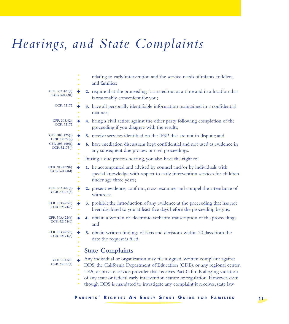### Hearings, and State Complaints

|                                | relating to early intervention and the service needs of infants, toddlers,<br>and families;                                                                                                                                                                                                                                                                                                                  |
|--------------------------------|--------------------------------------------------------------------------------------------------------------------------------------------------------------------------------------------------------------------------------------------------------------------------------------------------------------------------------------------------------------------------------------------------------------|
| CFR 303.423(a)                 | 2. require that the proceeding is carried out at a time and in a location that                                                                                                                                                                                                                                                                                                                               |
| CCR 52172(f)                   | is reasonably convenient for you;                                                                                                                                                                                                                                                                                                                                                                            |
| <b>CCR 52172</b>               | 3. have all personally identifiable information maintained in a confidential<br>manner;                                                                                                                                                                                                                                                                                                                      |
| CFR 303.424                    | 4. bring a civil action against the other party following completion of the                                                                                                                                                                                                                                                                                                                                  |
| <b>CCR 52172</b>               | proceeding if you disagree with the results;                                                                                                                                                                                                                                                                                                                                                                 |
| CFR 303.425(a)<br>CCR 52172(g) | 5. receive services identified on the IFSP that are not in dispute; and                                                                                                                                                                                                                                                                                                                                      |
| CFR 303.460(a)                 | 6. have mediation discussions kept confidential and not used as evidence in                                                                                                                                                                                                                                                                                                                                  |
| CCR 52173(j)                   | any subsequent due process or civil proceedings.                                                                                                                                                                                                                                                                                                                                                             |
|                                | During a due process hearing, you also have the right to:                                                                                                                                                                                                                                                                                                                                                    |
| CFR 303.422(b)<br>CCR 52174(d) | 1. be accompanied and advised by counsel and/or by individuals with<br>special knowledge with respect to early intervention services for children<br>under age three years;                                                                                                                                                                                                                                  |
| CFR 303.422(b)                 | 2. present evidence, confront, cross-examine, and compel the attendance of                                                                                                                                                                                                                                                                                                                                   |
| CCR 52174(d)                   | witnesses;                                                                                                                                                                                                                                                                                                                                                                                                   |
| CFR 303.422(b)                 | 3. prohibit the introduction of any evidence at the proceeding that has not                                                                                                                                                                                                                                                                                                                                  |
| CCR 52174(d)                   | been disclosed to you at least five days before the proceeding begins;                                                                                                                                                                                                                                                                                                                                       |
| CFR 303.422(b)                 | 4. obtain a written or electronic verbatim transcription of the proceeding;                                                                                                                                                                                                                                                                                                                                  |
| CCR 52174(d)                   | and                                                                                                                                                                                                                                                                                                                                                                                                          |
| CFR 303.422(b)                 | 5. obtain written findings of facts and decisions within 30 days from the                                                                                                                                                                                                                                                                                                                                    |
| CCR 52174(d)                   | date the request is filed.                                                                                                                                                                                                                                                                                                                                                                                   |
|                                | <b>State Complaints</b>                                                                                                                                                                                                                                                                                                                                                                                      |
| CFR 303.510<br>CCR $52170(a)$  | Any individual or organization may file a signed, written complaint against<br>DDS, the California Department of Education (CDE), or any regional center,<br>LEA, or private service provider that receives Part C funds alleging violation<br>of any state or federal early intervention statute or regulation. However, even<br>though DDS is mandated to investigate any complaint it receives, state law |

**P** ARENTS' RIGHTS: AN EARLY START GUIDE FOR FAMILIES **11**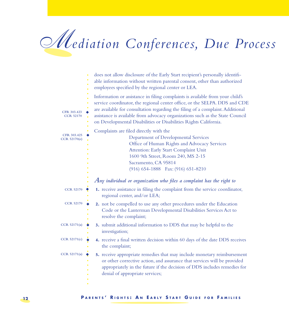## *Mediation Conferences, Due Process*

|                                 | ٠ | does not allow disclosure of the Early Start recipient's personally identifi-<br>able information without written parental consent, other than authorized<br>employees specified by the regional center or LEA.                                                                                                                                                                                    |
|---------------------------------|---|----------------------------------------------------------------------------------------------------------------------------------------------------------------------------------------------------------------------------------------------------------------------------------------------------------------------------------------------------------------------------------------------------|
| CFR 303.423<br><b>CCR 52170</b> | ٠ | Information or assistance in filing complaints is available from your child's<br>service coordinator, the regional center office, or the SELPA. DDS and CDE<br>are available for consultation regarding the filing of a complaint. Additional<br>assistance is available from advocacy organizations such as the State Council<br>on Developmental Disabilities or Disabilities Rights California. |
| CFR 303.425<br>CCR 52170(e)     |   | Complaints are filed directly with the<br>Department of Developmental Services<br>Office of Human Rights and Advocacy Services<br>Attention: Early Start Complaint Unit<br>1600 9th Street, Room 240, MS 2-15<br>Sacramento, CA 95814<br>(916) 654-1888 Fax: (916) 651-8210                                                                                                                        |
|                                 |   | $A$ ny individual or organization who files a complaint has the right to                                                                                                                                                                                                                                                                                                                           |
| <b>CCR 52170</b>                | ∙ | 1. receive assistance in filing the complaint from the service coordinator,<br>regional center, and/or LEA;                                                                                                                                                                                                                                                                                        |
| <b>CCR 52170</b>                | ٠ | 2. not be compelled to use any other procedures under the Education<br>Code or the Lanterman Developmental Disabilities Services Act to<br>resolve the complaint;                                                                                                                                                                                                                                  |
| CCR 52171(a)                    | ٠ | 3. submit additional information to DDS that may be helpful to the<br>investigation;                                                                                                                                                                                                                                                                                                               |
| CCR 52171(c)                    | ٠ | 4. receive a final written decision within 60 days of the date DDS receives<br>the complaint;                                                                                                                                                                                                                                                                                                      |
| CCR 52171(a)                    | ◆ | 5. receive appropriate remedies that may include monetary reimbursement<br>or other corrective action, and assurance that services will be provided<br>appropriately in the future if the decision of DDS includes remedies for<br>denial of appropriate services;                                                                                                                                 |
|                                 |   |                                                                                                                                                                                                                                                                                                                                                                                                    |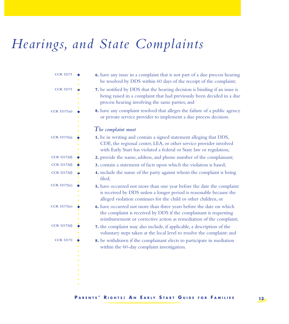### Hearings, and State Complaints

| <b>CCR 52171</b> | 6. have any issue in a complaint that is not part of a due process hearing<br>be resolved by DDS within 60 days of the receipt of the complaint;                                                                |
|------------------|-----------------------------------------------------------------------------------------------------------------------------------------------------------------------------------------------------------------|
| <b>CCR 52171</b> | 7. be notified by DDS that the hearing decision is binding if an issue is<br>being raised in a complaint that had previously been decided in a due<br>process hearing involving the same parties; and           |
| CCR 52171(e)     | 8. have any complaint resolved that alleges the failure of a public agency<br>or private service provider to implement a due process decision.                                                                  |
|                  | $The$ complaint must                                                                                                                                                                                            |
| CCR 52172(a)     | 1. be in writing and contain a signed statement alleging that DDS,<br>CDE, the regional center, LEA, or other service provider involved<br>with Early Start has violated a federal or State law or regulation;  |
| CCR 52172(f)     | 2. provide the name, address, and phone number of the complainant;                                                                                                                                              |
| CCR 52172(f)     | 3. contain a statement of facts upon which the violation is based;                                                                                                                                              |
| CCR 52172(f)     | 4. include the name of the party against whom the complaint is being<br>filed;                                                                                                                                  |
| CCR 52172(c)     | 5. have occurred not more than one year before the date the complaint<br>is received by DDS unless a longer period is reasonable because the<br>alleged violation continues for the child or other children, or |
| CCR 52172(c)     | 6. have occurred not more than three years before the date on which<br>the complaint is received by DDS if the complainant is requesting<br>reimbursement or corrective action as remediation of the complaint; |
| CCR 52172(f)     | 7. the complaint may also include, if applicable, a description of the<br>voluntary steps taken at the local level to resolve the complaint: and                                                                |
| <b>CCR 52172</b> | 8. be withdrawn if the complainant elects to participate in mediation<br>within the 60-day complaint investigation.                                                                                             |
|                  |                                                                                                                                                                                                                 |
|                  |                                                                                                                                                                                                                 |

**P** ARENTS' RIGHTS: AN EARLY START GUIDE FOR FAMILIES 13